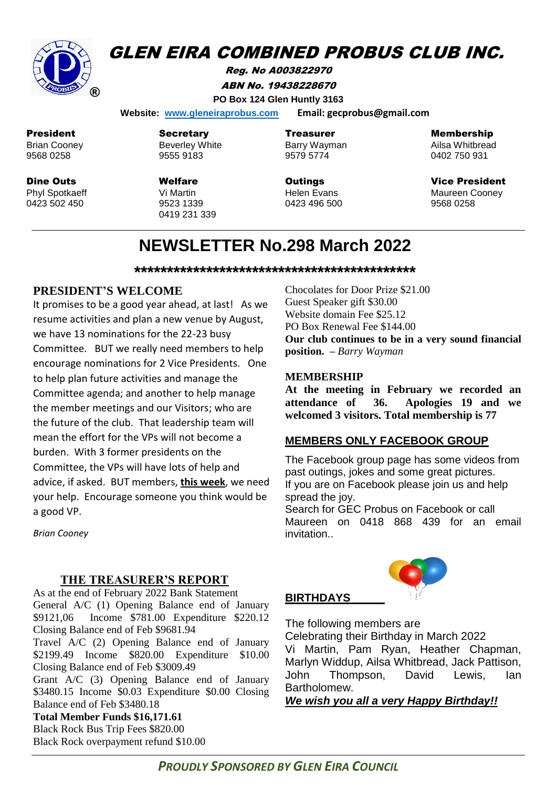

## **GLEN EIRA COMBINED PROBUS CLUB INC.**

Reg. No A003822970 ABN No. 19438228670 **PO Box 124 Glen Huntly 3163**

 **Website: [www.gleneiraprobus.com](http://www.gleneiraprobus.com/) Email: gecprobus@gmail.com**

President Brian Cooney 9568 0258

Dine Outs Phyl Spotkaeff 0423 502 450

**Secretary** Beverley White 9555 9183

Welfare Vi Martin 9523 1339 0419 231 339 Treasurer Barry Wayman 9579 5774

**Outings** Helen Evans 0423 496 500 Membership

Ailsa Whitbread 0402 750 931

Vice President Maureen Cooney 9568 0258

# **NEWSLETTER No.298 March 2022**

**\*\*\*\*\*\*\*\*\*\*\*\*\*\*\*\*\*\*\*\*\*\*\*\*\*\*\*\*\*\*\*\*\*\*\*\*\*\*\*\*\*\*\***

## **PRESIDENT'S WELCOME**

It promises to be a good year ahead, at last! As we resume activities and plan a new venue by August, we have 13 nominations for the 22-23 busy Committee. BUT we really need members to help encourage nominations for 2 Vice Presidents. One to help plan future activities and manage the Committee agenda; and another to help manage the member meetings and our Visitors; who are the future of the club. That leadership team will mean the effort for the VPs will not become a burden. With 3 former presidents on the Committee, the VPs will have lots of help and advice, if asked. BUT members, **this week**, we need your help. Encourage someone you think would be a good VP.

Chocolates for Door Prize \$21.00 Guest Speaker gift \$30.00 Website domain Fee \$25.12 PO Box Renewal Fee \$144.00 **Our club continues to be in a very sound financial position. –** *Barry Wayman*

## **MEMBERSHIP**

**At the meeting in February we recorded an attendance of 36. Apologies 19 and we welcomed 3 visitors. Total membership is 77**

## **MEMBERS ONLY FACEBOOK GROUP**

The Facebook group page has some videos from past outings, jokes and some great pictures. If you are on Facebook please join us and help spread the joy.

Search for GEC Probus on Facebook or call Maureen on 0418 868 439 for an email invitation..

#### *Brian Cooney*

## **THE TREASURER'S REPORT**

As at the end of February 2022 Bank Statement General A/C (1) Opening Balance end of January \$9121,06 Income \$781.00 Expenditure \$220.12 Closing Balance end of Feb \$9681.94

Travel A/C (2) Opening Balance end of January \$2199.49 Income \$820.00 Expenditure \$10.00 Closing Balance end of Feb \$3009.49

Grant A/C (3) Opening Balance end of January \$3480.15 Income \$0.03 Expenditure \$0.00 Closing Balance end of Feb \$3480.18

**Total Member Funds \$16,171.61** Black Rock Bus Trip Fees \$820.00 Black Rock overpayment refund \$10.00

## **BIRTHDAYS**

The following members are Celebrating their Birthday in March 2022 Vi Martin, Pam Ryan, Heather Chapman,

Marlyn Widdup, Ailsa Whitbread, Jack Pattison, John Thompson, David Lewis, Ian Bartholomew.

*We wish you all a very Happy Birthday!!*